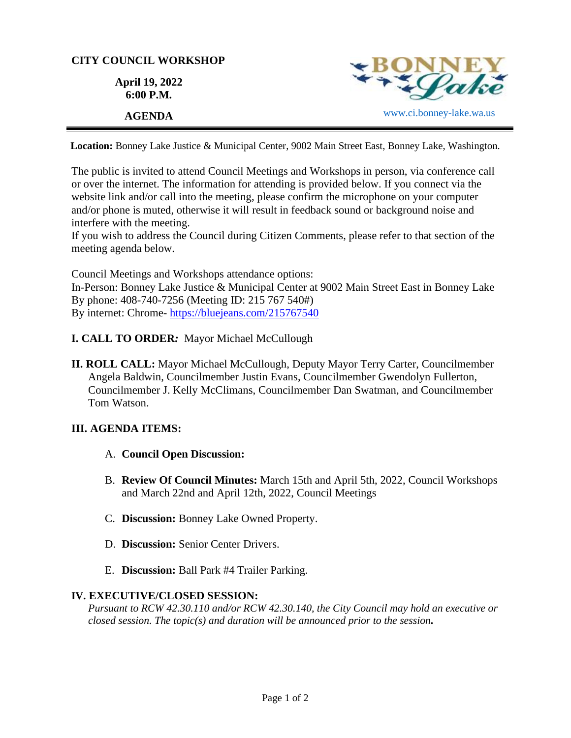## **CITY COUNCIL WORKSHOP**

**April 19, 2022 6:00 P.M.**



**Location:** Bonney Lake Justice & Municipal Center, 9002 Main Street East, Bonney Lake, Washington.

The public is invited to attend Council Meetings and Workshops in person, via conference call or over the internet. The information for attending is provided below. If you connect via the website link and/or call into the meeting, please confirm the microphone on your computer and/or phone is muted, otherwise it will result in feedback sound or background noise and interfere with the meeting.

If you wish to address the Council during Citizen Comments, please refer to that section of the meeting agenda below.

Council Meetings and Workshops attendance options: In-Person: Bonney Lake Justice & Municipal Center at 9002 Main Street East in Bonney Lake By phone: 408-740-7256 (Meeting ID: 215 767 540#) By internet: Chrome- [https://bluejeans.com/215767540](https://bluejeans.com/215767540?src=calendarLink&flow=joinmeeting)

- **I. CALL TO ORDER***:* Mayor Michael McCullough
- **II. ROLL CALL:** Mayor Michael McCullough, Deputy Mayor Terry Carter, Councilmember Angela Baldwin, Councilmember Justin Evans, Councilmember Gwendolyn Fullerton, Councilmember J. Kelly McClimans, Councilmember Dan Swatman, and Councilmember Tom Watson.

## **III. AGENDA ITEMS:**

- A. **Council Open Discussion:**
- B. **Review Of Council Minutes:** March 15th and April 5th, 2022, Council Workshops and March 22nd and April 12th, 2022, Council Meetings
- C. **Discussion:** Bonney Lake Owned Property.
- D. **Discussion:** Senior Center Drivers.
- E. **Discussion:** Ball Park #4 Trailer Parking.

## **IV. EXECUTIVE/CLOSED SESSION:**

*Pursuant to RCW 42.30.110 and/or RCW 42.30.140, the City Council may hold an executive or closed session. The topic(s) and duration will be announced prior to the session.*